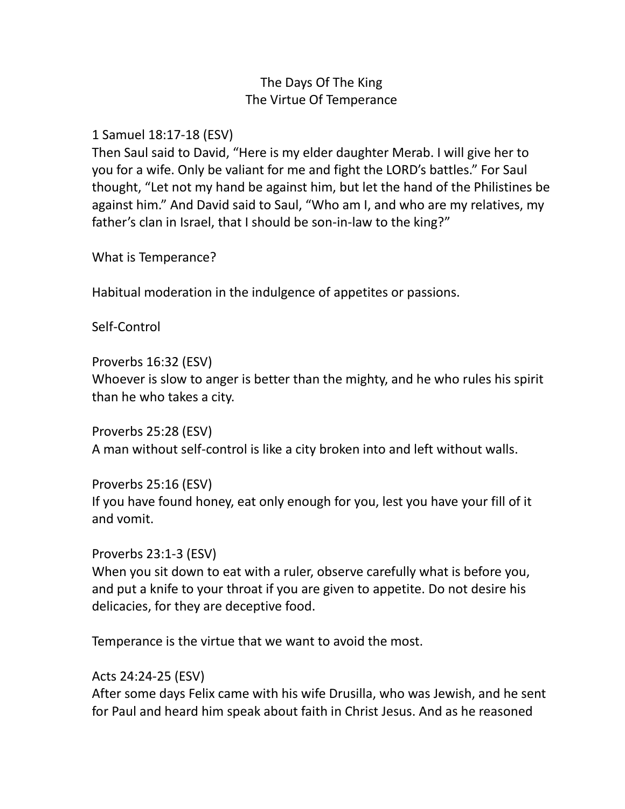# The Days Of The King The Virtue Of Temperance

#### 1 Samuel 18:17-18 (ESV)

Then Saul said to David, "Here is my elder daughter Merab. I will give her to you for a wife. Only be valiant for me and fight the LORD's battles." For Saul thought, "Let not my hand be against him, but let the hand of the Philistines be against him." And David said to Saul, "Who am I, and who are my relatives, my father's clan in Israel, that I should be son-in-law to the king?"

What is Temperance?

Habitual moderation in the indulgence of appetites or passions.

Self-Control

Proverbs 16:32 (ESV) Whoever is slow to anger is better than the mighty, and he who rules his spirit than he who takes a city.

Proverbs 25:28 (ESV) A man without self-control is like a city broken into and left without walls.

Proverbs 25:16 (ESV) If you have found honey, eat only enough for you, lest you have your fill of it and vomit.

Proverbs 23:1-3 (ESV) When you sit down to eat with a ruler, observe carefully what is before you, and put a knife to your throat if you are given to appetite. Do not desire his delicacies, for they are deceptive food.

Temperance is the virtue that we want to avoid the most.

### Acts 24:24-25 (ESV)

After some days Felix came with his wife Drusilla, who was Jewish, and he sent for Paul and heard him speak about faith in Christ Jesus. And as he reasoned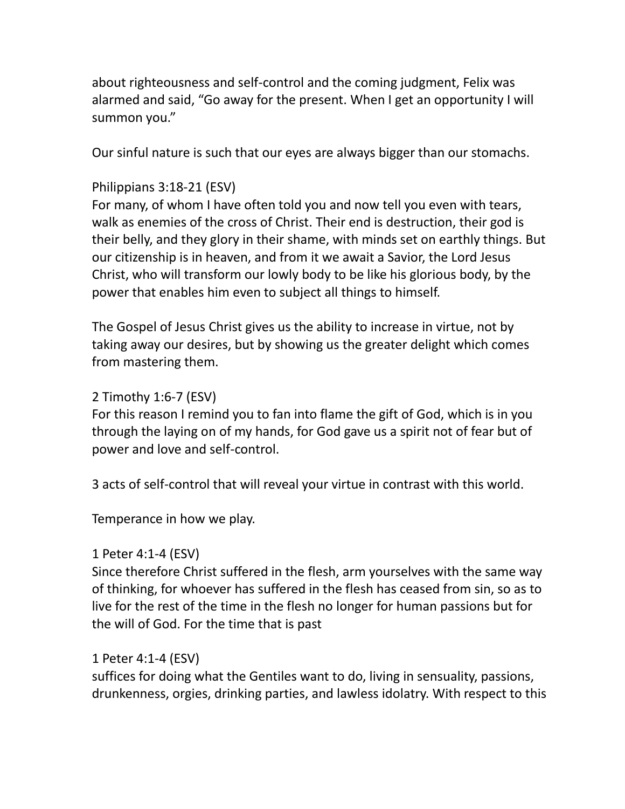about righteousness and self-control and the coming judgment, Felix was alarmed and said, "Go away for the present. When I get an opportunity I will summon you."

Our sinful nature is such that our eyes are always bigger than our stomachs.

## Philippians 3:18-21 (ESV)

For many, of whom I have often told you and now tell you even with tears, walk as enemies of the cross of Christ. Their end is destruction, their god is their belly, and they glory in their shame, with minds set on earthly things. But our citizenship is in heaven, and from it we await a Savior, the Lord Jesus Christ, who will transform our lowly body to be like his glorious body, by the power that enables him even to subject all things to himself.

The Gospel of Jesus Christ gives us the ability to increase in virtue, not by taking away our desires, but by showing us the greater delight which comes from mastering them.

### 2 Timothy 1:6-7 (ESV)

For this reason I remind you to fan into flame the gift of God, which is in you through the laying on of my hands, for God gave us a spirit not of fear but of power and love and self-control.

3 acts of self-control that will reveal your virtue in contrast with this world.

Temperance in how we play.

### 1 Peter 4:1-4 (ESV)

Since therefore Christ suffered in the flesh, arm yourselves with the same way of thinking, for whoever has suffered in the flesh has ceased from sin, so as to live for the rest of the time in the flesh no longer for human passions but for the will of God. For the time that is past

### 1 Peter 4:1-4 (ESV)

suffices for doing what the Gentiles want to do, living in sensuality, passions, drunkenness, orgies, drinking parties, and lawless idolatry. With respect to this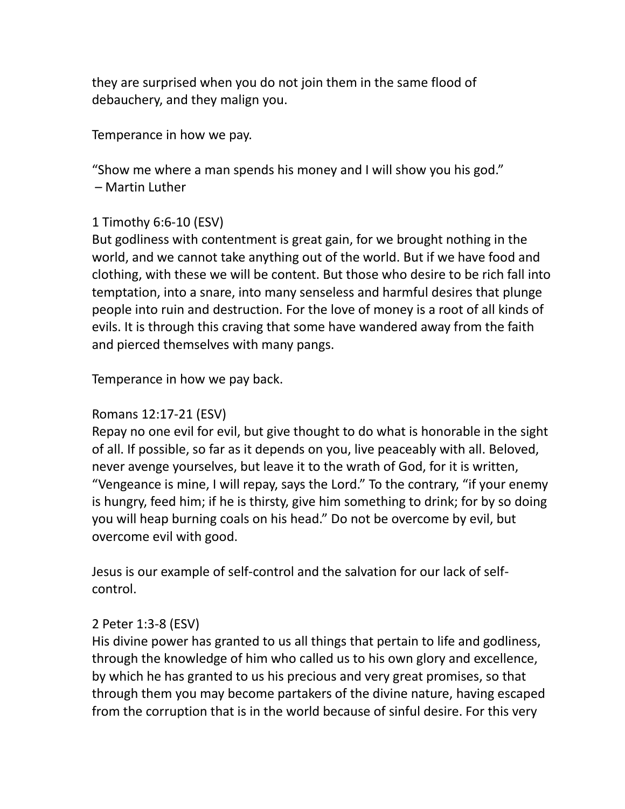they are surprised when you do not join them in the same flood of debauchery, and they malign you.

Temperance in how we pay.

"Show me where a man spends his money and I will show you his god." – Martin Luther

## 1 Timothy 6:6-10 (ESV)

But godliness with contentment is great gain, for we brought nothing in the world, and we cannot take anything out of the world. But if we have food and clothing, with these we will be content. But those who desire to be rich fall into temptation, into a snare, into many senseless and harmful desires that plunge people into ruin and destruction. For the love of money is a root of all kinds of evils. It is through this craving that some have wandered away from the faith and pierced themselves with many pangs.

Temperance in how we pay back.

### Romans 12:17-21 (ESV)

Repay no one evil for evil, but give thought to do what is honorable in the sight of all. If possible, so far as it depends on you, live peaceably with all. Beloved, never avenge yourselves, but leave it to the wrath of God, for it is written, "Vengeance is mine, I will repay, says the Lord." To the contrary, "if your enemy is hungry, feed him; if he is thirsty, give him something to drink; for by so doing you will heap burning coals on his head." Do not be overcome by evil, but overcome evil with good.

Jesus is our example of self-control and the salvation for our lack of selfcontrol.

### 2 Peter 1:3-8 (ESV)

His divine power has granted to us all things that pertain to life and godliness, through the knowledge of him who called us to his own glory and excellence, by which he has granted to us his precious and very great promises, so that through them you may become partakers of the divine nature, having escaped from the corruption that is in the world because of sinful desire. For this very